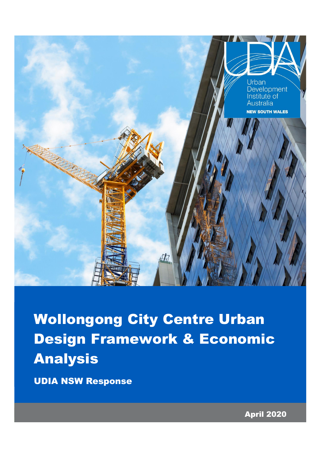

Wollongong City Centre Urban Design Framework & Economic Analysis

UDIA NSW Response

April 2020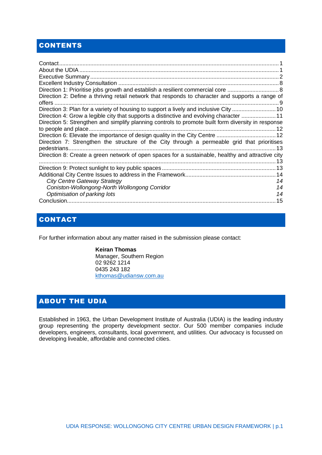# **CONTENTS**

| Direction 2: Define a thriving retail network that responds to character and supports a range of   |    |
|----------------------------------------------------------------------------------------------------|----|
| Direction 3: Plan for a variety of housing to support a lively and inclusive City 10               |    |
| Direction 4: Grow a legible city that supports a distinctive and evolving character  11            |    |
| Direction 5: Strengthen and simplify planning controls to promote built form diversity in response |    |
|                                                                                                    |    |
|                                                                                                    |    |
| Direction 7: Strengthen the structure of the City through a permeable grid that prioritises        |    |
|                                                                                                    |    |
| Direction 8: Create a green network of open spaces for a sustainable, healthy and attractive city  |    |
|                                                                                                    |    |
|                                                                                                    |    |
|                                                                                                    |    |
| <b>City Centre Gateway Strategy</b>                                                                | 14 |
| Coniston-Wollongong-North Wollongong Corridor                                                      | 14 |
| Optimisation of parking lots                                                                       | 14 |
|                                                                                                    |    |

# <span id="page-1-0"></span>CONTACT

For further information about any matter raised in the submission please contact:

**Keiran Thomas** Manager, Southern Region 02 9262 1214 0435 243 182 [kthomas@udiansw.com.au](mailto:kthomas@udiansw.com.au)

### <span id="page-1-1"></span>ABOUT THE UDIA

Established in 1963, the Urban Development Institute of Australia (UDIA) is the leading industry group representing the property development sector. Our 500 member companies include developers, engineers, consultants, local government, and utilities. Our advocacy is focussed on developing liveable, affordable and connected cities.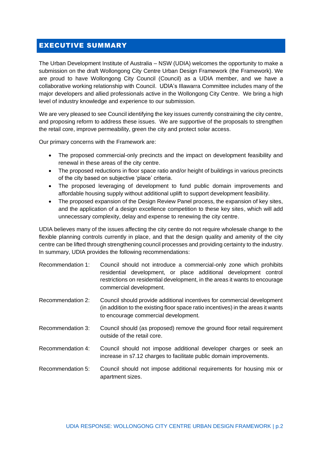#### <span id="page-2-0"></span>EXECUTIVE SUMMARY

The Urban Development Institute of Australia – NSW (UDIA) welcomes the opportunity to make a submission on the draft Wollongong City Centre Urban Design Framework (the Framework). We are proud to have Wollongong City Council (Council) as a UDIA member, and we have a collaborative working relationship with Council. UDIA's Illawarra Committee includes many of the major developers and allied professionals active in the Wollongong City Centre. We bring a high level of industry knowledge and experience to our submission.

We are very pleased to see Council identifying the key issues currently constraining the city centre, and proposing reform to address these issues. We are supportive of the proposals to strengthen the retail core, improve permeability, green the city and protect solar access.

Our primary concerns with the Framework are:

- The proposed commercial-only precincts and the impact on development feasibility and renewal in these areas of the city centre.
- The proposed reductions in floor space ratio and/or height of buildings in various precincts of the city based on subjective 'place' criteria.
- The proposed leveraging of development to fund public domain improvements and affordable housing supply without additional uplift to support development feasibility.
- The proposed expansion of the Design Review Panel process, the expansion of key sites, and the application of a design excellence competition to these key sites, which will add unnecessary complexity, delay and expense to renewing the city centre.

UDIA believes many of the issues affecting the city centre do not require wholesale change to the flexible planning controls currently in place, and that the design quality and amenity of the city centre can be lifted through strengthening council processes and providing certainty to the industry. In summary, UDIA provides the following recommendations:

| Recommendation 1: | Council should not introduce a commercial-only zone which prohibits<br>residential development, or place additional development control<br>restrictions on residential development, in the areas it wants to encourage<br>commercial development. |
|-------------------|---------------------------------------------------------------------------------------------------------------------------------------------------------------------------------------------------------------------------------------------------|
| Recommendation 2: | Council should provide additional incentives for commercial development<br>(in addition to the existing floor space ratio incentives) in the areas it wants<br>to encourage commercial development.                                               |

- Recommendation 3: Council should (as proposed) remove the ground floor retail requirement outside of the retail core.
- Recommendation 4: Council should not impose additional developer charges or seek an increase in s7.12 charges to facilitate public domain improvements.

Recommendation 5: Council should not impose additional requirements for housing mix or apartment sizes.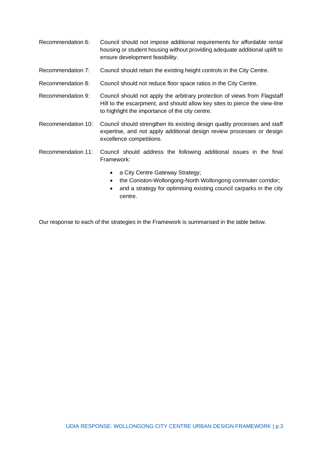- Recommendation 6: Council should not impose additional requirements for affordable rental housing or student housing without providing adequate additional uplift to ensure development feasibility.
- Recommendation 7: Council should retain the existing height controls in the City Centre.
- Recommendation 8: Council should not reduce floor space ratios in the City Centre.
- Recommendation 9: Council should not apply the arbitrary protection of views from Flagstaff Hill to the escarpment, and should allow key sites to pierce the view-line to highlight the importance of the city centre.
- Recommendation 10: Council should strengthen its existing design quality processes and staff expertise, and not apply additional design review processes or design excellence competitions.
- Recommendation 11: Council should address the following additional issues in the final Framework:
	- a City Centre Gateway Strategy;
	- the Coniston-Wollongong-North Wollongong commuter corridor;
	- and a strategy for optimising existing council carparks in the city centre.

Our response to each of the strategies in the Framework is summarised in the table below.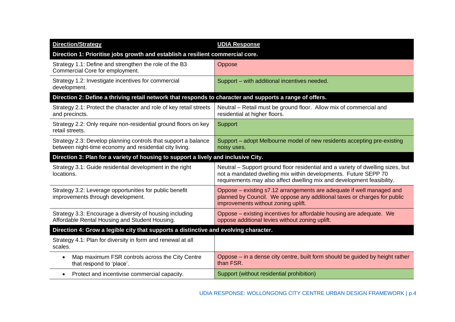| <b>Direction/Strategy</b>                                                                                                 | <b>UDIA Response</b>                                                                                                                                                                                                         |  |
|---------------------------------------------------------------------------------------------------------------------------|------------------------------------------------------------------------------------------------------------------------------------------------------------------------------------------------------------------------------|--|
| Direction 1: Prioritise jobs growth and establish a resilient commercial core.                                            |                                                                                                                                                                                                                              |  |
| Strategy 1.1: Define and strengthen the role of the B3<br>Commercial Core for employment.                                 | Oppose                                                                                                                                                                                                                       |  |
| Strategy 1.2: Investigate incentives for commercial<br>development.                                                       | Support - with additional incentives needed.                                                                                                                                                                                 |  |
| Direction 2: Define a thriving retail network that responds to character and supports a range of offers.                  |                                                                                                                                                                                                                              |  |
| Strategy 2.1: Protect the character and role of key retail streets<br>and precincts.                                      | Neutral - Retail must be ground floor. Allow mix of commercial and<br>residential at higher floors.                                                                                                                          |  |
| Strategy 2.2: Only require non-residential ground floors on key<br>retail streets.                                        | Support                                                                                                                                                                                                                      |  |
| Strategy 2.3: Develop planning controls that support a balance<br>between night-time economy and residential city living. | Support – adopt Melbourne model of new residents accepting pre-existing<br>noisy uses.                                                                                                                                       |  |
| Direction 3: Plan for a variety of housing to support a lively and inclusive City.                                        |                                                                                                                                                                                                                              |  |
| Strategy 3.1: Guide residential development in the right<br>locations.                                                    | Neutral - Support ground floor residential and a variety of dwelling sizes, but<br>not a mandated dwelling mix within developments. Future SEPP 70<br>requirements may also affect dwelling mix and development feasibility. |  |
| Strategy 3.2: Leverage opportunities for public benefit<br>improvements through development.                              | Oppose – existing s7.12 arrangements are adequate if well managed and<br>planned by Council. We oppose any additional taxes or charges for public<br>improvements without zoning uplift.                                     |  |
| Strategy 3.3: Encourage a diversity of housing including<br>Affordable Rental Housing and Student Housing.                | Oppose – existing incentives for affordable housing are adequate. We<br>oppose additional levies without zoning uplift.                                                                                                      |  |
| Direction 4: Grow a legible city that supports a distinctive and evolving character.                                      |                                                                                                                                                                                                                              |  |
| Strategy 4.1: Plan for diversity in form and renewal at all<br>scales.                                                    |                                                                                                                                                                                                                              |  |
| Map maximum FSR controls across the City Centre<br>٠<br>that respond to 'place'.                                          | Oppose – in a dense city centre, built form should be guided by height rather<br>than FSR.                                                                                                                                   |  |
| Protect and incentivise commercial capacity.<br>$\bullet$                                                                 | Support (without residential prohibition)                                                                                                                                                                                    |  |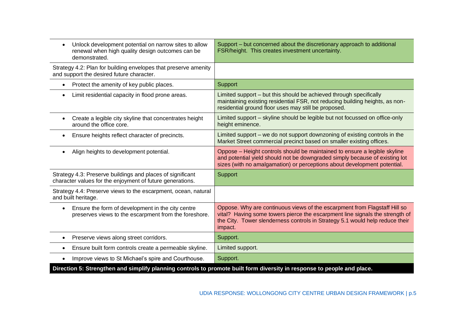| Unlock development potential on narrow sites to allow<br>renewal when high quality design outcomes can be<br>demonstrated. | Support – but concerned about the discretionary approach to additional<br>FSR/height. This creates investment uncertainty.                                                                                                                           |
|----------------------------------------------------------------------------------------------------------------------------|------------------------------------------------------------------------------------------------------------------------------------------------------------------------------------------------------------------------------------------------------|
| Strategy 4.2: Plan for building envelopes that preserve amenity<br>and support the desired future character.               |                                                                                                                                                                                                                                                      |
| Protect the amenity of key public places.<br>$\bullet$                                                                     | <b>Support</b>                                                                                                                                                                                                                                       |
| Limit residential capacity in flood prone areas.                                                                           | Limited support - but this should be achieved through specifically<br>maintaining existing residential FSR, not reducing building heights, as non-<br>residential ground floor uses may still be proposed.                                           |
| Create a legible city skyline that concentrates height<br>around the office core.                                          | Limited support - skyline should be legible but not focussed on office-only<br>height eminence.                                                                                                                                                      |
| Ensure heights reflect character of precincts.<br>$\bullet$                                                                | Limited support – we do not support downzoning of existing controls in the<br>Market Street commercial precinct based on smaller existing offices.                                                                                                   |
| Align heights to development potential.                                                                                    | Oppose - Height controls should be maintained to ensure a legible skyline<br>and potential yield should not be downgraded simply because of existing lot<br>sizes (with no amalgamation) or perceptions about development potential.                 |
| Strategy 4.3: Preserve buildings and places of significant<br>character values for the enjoyment of future generations.    | <b>Support</b>                                                                                                                                                                                                                                       |
| Strategy 4.4: Preserve views to the escarpment, ocean, natural<br>and built heritage.                                      |                                                                                                                                                                                                                                                      |
| Ensure the form of development in the city centre<br>preserves views to the escarpment from the foreshore.                 | Oppose. Why are continuous views of the escarpment from Flagstaff Hill so<br>vital? Having some towers pierce the escarpment line signals the strength of<br>the City. Tower slenderness controls in Strategy 5.1 would help reduce their<br>impact. |
| Preserve views along street corridors.<br>$\bullet$                                                                        | Support.                                                                                                                                                                                                                                             |
| Ensure built form controls create a permeable skyline.                                                                     | Limited support.                                                                                                                                                                                                                                     |
| Improve views to St Michael's spire and Courthouse.                                                                        | Support.                                                                                                                                                                                                                                             |
| Direction 5: Strengthen and simplify planning controls to promote built form diversity in response to people and place.    |                                                                                                                                                                                                                                                      |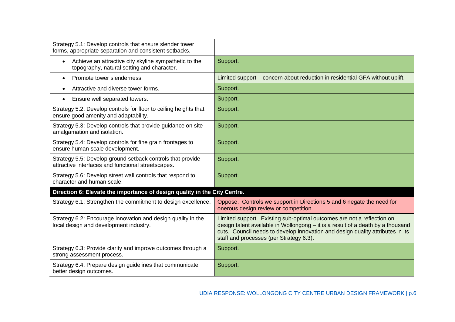| Strategy 5.1: Develop controls that ensure slender tower<br>forms, appropriate separation and consistent setbacks. |                                                                                                                                                                                                                                                                                        |
|--------------------------------------------------------------------------------------------------------------------|----------------------------------------------------------------------------------------------------------------------------------------------------------------------------------------------------------------------------------------------------------------------------------------|
| Achieve an attractive city skyline sympathetic to the<br>$\bullet$<br>topography, natural setting and character.   | Support.                                                                                                                                                                                                                                                                               |
| Promote tower slenderness.<br>$\bullet$                                                                            | Limited support – concern about reduction in residential GFA without uplift.                                                                                                                                                                                                           |
| Attractive and diverse tower forms.<br>$\bullet$                                                                   | Support.                                                                                                                                                                                                                                                                               |
| Ensure well separated towers.<br>$\bullet$                                                                         | Support.                                                                                                                                                                                                                                                                               |
| Strategy 5.2: Develop controls for floor to ceiling heights that<br>ensure good amenity and adaptability.          | Support.                                                                                                                                                                                                                                                                               |
| Strategy 5.3: Develop controls that provide guidance on site<br>amalgamation and isolation.                        | Support.                                                                                                                                                                                                                                                                               |
| Strategy 5.4: Develop controls for fine grain frontages to<br>ensure human scale development.                      | Support.                                                                                                                                                                                                                                                                               |
| Strategy 5.5: Develop ground setback controls that provide<br>attractive interfaces and functional streetscapes.   | Support.                                                                                                                                                                                                                                                                               |
| Strategy 5.6: Develop street wall controls that respond to<br>character and human scale.                           | Support.                                                                                                                                                                                                                                                                               |
| Direction 6: Elevate the importance of design quality in the City Centre.                                          |                                                                                                                                                                                                                                                                                        |
| Strategy 6.1: Strengthen the commitment to design excellence.                                                      | Oppose. Controls we support in Directions 5 and 6 negate the need for<br>onerous design review or competition.                                                                                                                                                                         |
| Strategy 6.2: Encourage innovation and design quality in the<br>local design and development industry.             | Limited support. Existing sub-optimal outcomes are not a reflection on<br>design talent available in Wollongong - it is a result of a death by a thousand<br>cuts. Council needs to develop innovation and design quality attributes in its<br>staff and processes (per Strategy 6.3). |
| Strategy 6.3: Provide clarity and improve outcomes through a<br>strong assessment process.                         | Support.                                                                                                                                                                                                                                                                               |
| Strategy 6.4: Prepare design guidelines that communicate<br>better design outcomes.                                | Support.                                                                                                                                                                                                                                                                               |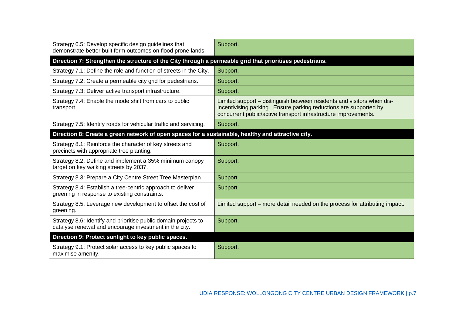| Strategy 6.5: Develop specific design guidelines that<br>demonstrate better built form outcomes on flood prone lands.     | Support.                                                                                                                                                                                                       |  |
|---------------------------------------------------------------------------------------------------------------------------|----------------------------------------------------------------------------------------------------------------------------------------------------------------------------------------------------------------|--|
| Direction 7: Strengthen the structure of the City through a permeable grid that prioritises pedestrians.                  |                                                                                                                                                                                                                |  |
| Strategy 7.1: Define the role and function of streets in the City.                                                        | Support.                                                                                                                                                                                                       |  |
| Strategy 7.2: Create a permeable city grid for pedestrians.                                                               | Support.                                                                                                                                                                                                       |  |
| Strategy 7.3: Deliver active transport infrastructure.                                                                    | Support.                                                                                                                                                                                                       |  |
| Strategy 7.4: Enable the mode shift from cars to public<br>transport.                                                     | Limited support – distinguish between residents and visitors when dis-<br>incentivising parking. Ensure parking reductions are supported by<br>concurrent public/active transport infrastructure improvements. |  |
| Strategy 7.5: Identify roads for vehicular traffic and servicing.                                                         | Support.                                                                                                                                                                                                       |  |
| Direction 8: Create a green network of open spaces for a sustainable, healthy and attractive city.                        |                                                                                                                                                                                                                |  |
| Strategy 8.1: Reinforce the character of key streets and<br>precincts with appropriate tree planting.                     | Support.                                                                                                                                                                                                       |  |
| Strategy 8.2: Define and implement a 35% minimum canopy<br>target on key walking streets by 2037.                         | Support.                                                                                                                                                                                                       |  |
| Strategy 8.3: Prepare a City Centre Street Tree Masterplan.                                                               | Support.                                                                                                                                                                                                       |  |
| Strategy 8.4: Establish a tree-centric approach to deliver<br>greening in response to existing constraints.               | Support.                                                                                                                                                                                                       |  |
| Strategy 8.5: Leverage new development to offset the cost of<br>greening.                                                 | Limited support – more detail needed on the process for attributing impact.                                                                                                                                    |  |
| Strategy 8.6: Identify and prioritise public domain projects to<br>catalyse renewal and encourage investment in the city. | Support.                                                                                                                                                                                                       |  |
| Direction 9: Protect sunlight to key public spaces.                                                                       |                                                                                                                                                                                                                |  |
| Strategy 9.1: Protect solar access to key public spaces to<br>maximise amenity.                                           | Support.                                                                                                                                                                                                       |  |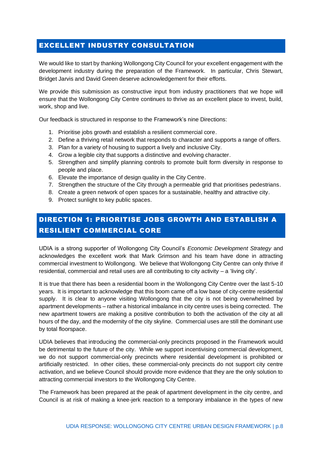### <span id="page-8-0"></span>EXCELLENT INDUSTRY CONSULTATION

We would like to start by thanking Wollongong City Council for your excellent engagement with the development industry during the preparation of the Framework. In particular, Chris Stewart, Bridget Jarvis and David Green deserve acknowledgement for their efforts.

We provide this submission as constructive input from industry practitioners that we hope will ensure that the Wollongong City Centre continues to thrive as an excellent place to invest, build, work, shop and live.

Our feedback is structured in response to the Framework's nine Directions:

- 1. Prioritise jobs growth and establish a resilient commercial core.
- 2. Define a thriving retail network that responds to character and supports a range of offers.
- 3. Plan for a variety of housing to support a lively and inclusive City.
- 4. Grow a legible city that supports a distinctive and evolving character.
- 5. Strengthen and simplify planning controls to promote built form diversity in response to people and place.
- 6. Elevate the importance of design quality in the City Centre.
- 7. Strengthen the structure of the City through a permeable grid that prioritises pedestrians.
- 8. Create a green network of open spaces for a sustainable, healthy and attractive city.
- 9. Protect sunlight to key public spaces.

# <span id="page-8-1"></span>DIRECTION 1: PRIORITISE JOBS GROWTH AND ESTABLISH A RESILIENT COMMERCIAL CORE

UDIA is a strong supporter of Wollongong City Council's *Economic Development Strategy* and acknowledges the excellent work that Mark Grimson and his team have done in attracting commercial investment to Wollongong. We believe that Wollongong City Centre can only thrive if residential, commercial and retail uses are all contributing to city activity – a 'living city'.

It is true that there has been a residential boom in the Wollongong City Centre over the last 5-10 years. It is important to acknowledge that this boom came off a low base of city-centre residential supply. It is clear to anyone visiting Wollongong that the city is not being overwhelmed by apartment developments – rather a historical imbalance in city centre uses is being corrected. The new apartment towers are making a positive contribution to both the activation of the city at all hours of the day, and the modernity of the city skyline. Commercial uses are still the dominant use by total floorspace.

UDIA believes that introducing the commercial-only precincts proposed in the Framework would be detrimental to the future of the city. While we support incentivising commercial development, we do not support commercial-only precincts where residential development is prohibited or artificially restricted. In other cities, these commercial-only precincts do not support city centre activation, and we believe Council should provide more evidence that they are the only solution to attracting commercial investors to the Wollongong City Centre.

The Framework has been prepared at the peak of apartment development in the city centre, and Council is at risk of making a knee-jerk reaction to a temporary imbalance in the types of new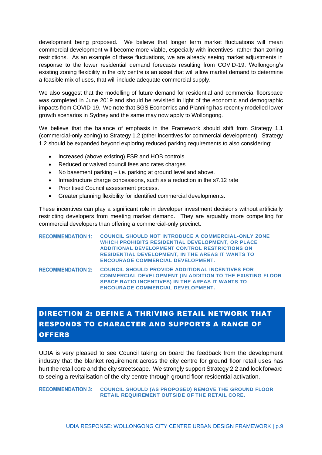development being proposed. We believe that longer term market fluctuations will mean commercial development will become more viable, especially with incentives, rather than zoning restrictions. As an example of these fluctuations, we are already seeing market adjustments in response to the lower residential demand forecasts resulting from COVID-19. Wollongong's existing zoning flexibility in the city centre is an asset that will allow market demand to determine a feasible mix of uses, that will include adequate commercial supply.

We also suggest that the modelling of future demand for residential and commercial floorspace was completed in June 2019 and should be revisited in light of the economic and demographic impacts from COVID-19. We note that SGS Economics and Planning has recently modelled lower growth scenarios in Sydney and the same may now apply to Wollongong.

We believe that the balance of emphasis in the Framework should shift from Strategy 1.1 (commercial-only zoning) to Strategy 1.2 (other incentives for commercial development). Strategy 1.2 should be expanded beyond exploring reduced parking requirements to also considering:

- Increased (above existing) FSR and HOB controls.
- Reduced or waived council fees and rates charges
- No basement parking i.e. parking at ground level and above.
- Infrastructure charge concessions, such as a reduction in the s7.12 rate
- Prioritised Council assessment process.
- Greater planning flexibility for identified commercial developments.

These incentives can play a significant role in developer investment decisions without artificially restricting developers from meeting market demand. They are arguably more compelling for commercial developers than offering a commercial-only precinct.

| <b>RECOMMENDATION 1:</b> | <b>COUNCIL SHOULD NOT INTRODUCE A COMMERCIAL-ONLY ZONE</b><br>WHICH PROHIBITS RESIDENTIAL DEVELOPMENT, OR PLACE<br><b>ADDITIONAL DEVELOPMENT CONTROL RESTRICTIONS ON</b><br><b>RESIDENTIAL DEVELOPMENT, IN THE AREAS IT WANTS TO</b><br><b>ENCOURAGE COMMERCIAL DEVELOPMENT.</b> |
|--------------------------|----------------------------------------------------------------------------------------------------------------------------------------------------------------------------------------------------------------------------------------------------------------------------------|
| <b>RECOMMENDATION 2:</b> | <b>COUNCIL SHOULD PROVIDE ADDITIONAL INCENTIVES FOR</b><br><b>COMMERCIAL DEVELOPMENT (IN ADDITION TO THE EXISTING FLOOR</b><br><b>SPACE RATIO INCENTIVES) IN THE AREAS IT WANTS TO</b><br><b>ENCOURAGE COMMERCIAL DEVELOPMENT.</b>                                               |

# <span id="page-9-0"></span>DIRECTION 2: DEFINE A THRIVING RETAIL NETWORK THAT RESPONDS TO CHARACTER AND SUPPORTS A RANGE OF **OFFERS**

UDIA is very pleased to see Council taking on board the feedback from the development industry that the blanket requirement across the city centre for ground floor retail uses has hurt the retail core and the city streetscape. We strongly support Strategy 2.2 and look forward to seeing a revitalisation of the city centre through ground floor residential activation.

**RECOMMENDATION 3: COUNCIL SHOULD (AS PROPOSED) REMOVE THE GROUND FLOOR RETAIL REQUIREMENT OUTSIDE OF THE RETAIL CORE.**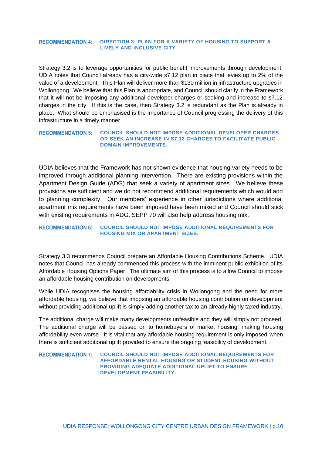#### <span id="page-10-0"></span>**RECOMMENDATION 4: DIRECTION 3: PLAN FOR A VARIETY OF HOUSING TO SUPPORT A LIVELY AND INCLUSIVE CITY**

Strategy 3.2 is to leverage opportunities for public benefit improvements through development. UDIA notes that Council already has a city-wide s7.12 plan in place that levies up to 2% of the value of a development. This Plan will deliver more than \$130 million in infrastructure upgrades in Wollongong. We believe that this Plan is appropriate, and Council should clarify in the Framework that it will not be imposing any additional developer charges or seeking and increase to s7.12 charges in the city. If this is the case, then Strategy 3.2 is redundant as the Plan is already in place. What should be emphasised is the importance of Council progressing the delivery of this infrastructure in a timely manner.

#### **RECOMMENDATION 5: COUNCIL SHOULD NOT IMPOSE ADDITIONAL DEVELOPER CHARGES OR SEEK AN INCREASE IN S7.12 CHARGES TO FACILITATE PUBLIC DOMAIN IMPROVEMENTS.**

UDIA believes that the Framework has not shown evidence that housing variety needs to be improved through additional planning intervention. There are existing provisions within the Apartment Design Guide (ADG) that seek a variety of apartment sizes. We believe these provisions are sufficient and we do not recommend additional requirements which would add to planning complexity. Our members' experience in other jurisdictions where additional apartment mix requirements have been imposed have been mixed and Council should stick with existing requirements in ADG. SEPP 70 will also help address housing mix.

#### **RECOMMENDATION 6: COUNCIL SHOULD NOT IMPOSE ADDITIONAL REQUIREMENTS FOR HOUSING MIX OR APARTMENT SIZES.**

Strategy 3.3 recommends Council prepare an Affordable Housing Contributions Scheme. UDIA notes that Council has already commenced this process with the imminent public exhibition of its Affordable Housing Options Paper. The ultimate aim of this process is to allow Council to impose an affordable housing contribution on developments.

While UDIA recognises the housing affordability crisis in Wollongong and the need for more affordable housing, we believe that imposing an affordable housing contribution on development without providing additional uplift is simply adding another tax to an already highly taxed industry.

The additional charge will make many developments unfeasible and they will simply not proceed. The additional charge will be passed on to homebuyers of market housing, making housing affordability even worse. It is vital that any affordable housing requirement is only imposed when there is sufficient additional uplift provided to ensure the ongoing feasibility of development.

RECOMMENDATION 7: COUNCIL SHOULD NOT IMPOSE ADDITIONAL REQUIREMENTS FOR **AFFORDABLE RENTAL HOUSING OR STUDENT HOUSING WITHOUT PROVIDING ADEQUATE ADDITIONAL UPLIFT TO ENSURE DEVELOPMENT FEASIBILITY.**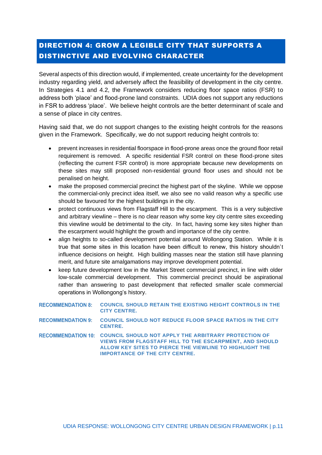# <span id="page-11-0"></span>DIRECTION 4: GROW A LEGIBLE CITY THAT SUPPORTS A DISTINCTIVE AND EVOLVING CHARACTER

Several aspects of this direction would, if implemented, create uncertainty for the development industry regarding yield, and adversely affect the feasibility of development in the city centre. In Strategies 4.1 and 4.2, the Framework considers reducing floor space ratios (FSR) to address both 'place' and flood-prone land constraints. UDIA does not support any reductions in FSR to address 'place'. We believe height controls are the better determinant of scale and a sense of place in city centres.

Having said that, we do not support changes to the existing height controls for the reasons given in the Framework. Specifically, we do not support reducing height controls to:

- prevent increases in residential floorspace in flood-prone areas once the ground floor retail requirement is removed. A specific residential FSR control on these flood-prone sites (reflecting the current FSR control) is more appropriate because new developments on these sites may still proposed non-residential ground floor uses and should not be penalised on height.
- make the proposed commercial precinct the highest part of the skyline. While we oppose the commercial-only precinct idea itself, we also see no valid reason why a specific use should be favoured for the highest buildings in the city.
- protect continuous views from Flagstaff Hill to the escarpment. This is a very subjective and arbitrary viewline – there is no clear reason why some key city centre sites exceeding this viewline would be detrimental to the city. In fact, having some key sites higher than the escarpment would highlight the growth and importance of the city centre.
- align heights to so-called development potential around Wollongong Station. While it is true that some sites in this location have been difficult to renew, this history shouldn't influence decisions on height. High building masses near the station still have planning merit, and future site amalgamations may improve development potential.
- keep future development low in the Market Street commercial precinct, in line with older low-scale commercial development. This commercial precinct should be aspirational rather than answering to past development that reflected smaller scale commercial operations in Wollongong's history.

| <b>RECOMMENDATION 8:</b> | <b>COUNCIL SHOULD RETAIN THE EXISTING HEIGHT CONTROLS IN THE</b><br><b>CITY CENTRE.</b>                                                                                                                                                       |
|--------------------------|-----------------------------------------------------------------------------------------------------------------------------------------------------------------------------------------------------------------------------------------------|
| <b>RECOMMENDATION 9:</b> | <b>COUNCIL SHOULD NOT REDUCE FLOOR SPACE RATIOS IN THE CITY</b><br><b>CENTRE.</b>                                                                                                                                                             |
|                          | RECOMMENDATION 10: COUNCIL SHOULD NOT APPLY THE ARBITRARY PROTECTION OF<br><b>VIEWS FROM FLAGSTAFF HILL TO THE ESCARPMENT. AND SHOULD</b><br>ALLOW KEY SITES TO PIERCE THE VIEWLINE TO HIGHLIGHT THE<br><b>IMPORTANCE OF THE CITY CENTRE.</b> |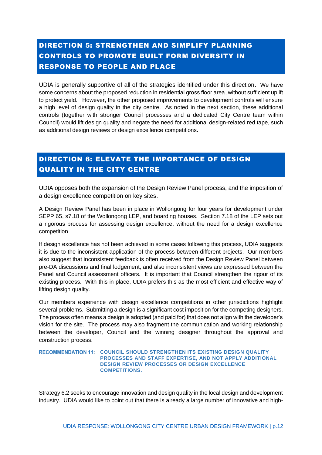# <span id="page-12-0"></span>DIRECTION 5: STRENGTHEN AND SIMPLIFY PLANNING CONTROLS TO PROMOTE BUILT FORM DIVERSITY IN RESPONSE TO PEOPLE AND PLACE

UDIA is generally supportive of all of the strategies identified under this direction. We have some concerns about the proposed reduction in residential gross floor area, without sufficient uplift to protect yield. However, the other proposed improvements to development controls will ensure a high level of design quality in the city centre. As noted in the next section, these additional controls (together with stronger Council processes and a dedicated City Centre team within Council) would lift design quality and negate the need for additional design-related red tape, such as additional design reviews or design excellence competitions.

# <span id="page-12-1"></span>DIRECTION 6: ELEVATE THE IMPORTANCE OF DESIGN QUALITY IN THE CITY CENTRE

UDIA opposes both the expansion of the Design Review Panel process, and the imposition of a design excellence competition on key sites.

A Design Review Panel has been in place in Wollongong for four years for development under SEPP 65, s7.18 of the Wollongong LEP, and boarding houses. Section 7.18 of the LEP sets out a rigorous process for assessing design excellence, without the need for a design excellence competition.

If design excellence has not been achieved in some cases following this process, UDIA suggests it is due to the inconsistent application of the process between different projects. Our members also suggest that inconsistent feedback is often received from the Design Review Panel between pre-DA discussions and final lodgement, and also inconsistent views are expressed between the Panel and Council assessment officers. It is important that Council strengthen the rigour of its existing process. With this in place, UDIA prefers this as the most efficient and effective way of lifting design quality.

Our members experience with design excellence competitions in other jurisdictions highlight several problems. Submitting a design is a significant cost imposition for the competing designers. The process often means a design is adopted (and paid for) that does not align with the developer's vision for the site. The process may also fragment the communication and working relationship between the developer, Council and the winning designer throughout the approval and construction process.

#### **RECOMMENDATION 11: COUNCIL SHOULD STRENGTHEN ITS EXISTING DESIGN QUALITY PROCESSES AND STAFF EXPERTISE, AND NOT APPLY ADDITIONAL DESIGN REVIEW PROCESSES OR DESIGN EXCELLENCE COMPETITIONS.**

Strategy 6.2 seeks to encourage innovation and design quality in the local design and development industry. UDIA would like to point out that there is already a large number of innovative and high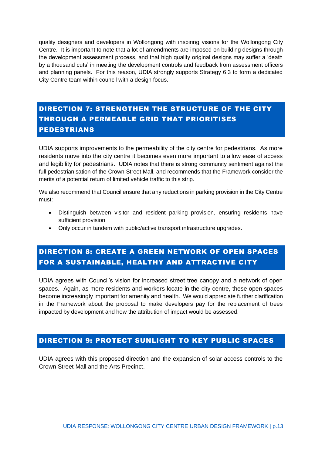quality designers and developers in Wollongong with inspiring visions for the Wollongong City Centre. It is important to note that a lot of amendments are imposed on building designs through the development assessment process, and that high quality original designs may suffer a 'death by a thousand cuts' in meeting the development controls and feedback from assessment officers and planning panels. For this reason, UDIA strongly supports Strategy 6.3 to form a dedicated City Centre team within council with a design focus.

# <span id="page-13-0"></span>DIRECTION 7: STRENGTHEN THE STRUCTURE OF THE CITY THROUGH A PERMEABLE GRID THAT PRIORITISES PEDESTRIANS

UDIA supports improvements to the permeability of the city centre for pedestrians. As more residents move into the city centre it becomes even more important to allow ease of access and legibility for pedestrians. UDIA notes that there is strong community sentiment against the full pedestrianisation of the Crown Street Mall, and recommends that the Framework consider the merits of a potential return of limited vehicle traffic to this strip.

We also recommend that Council ensure that any reductions in parking provision in the City Centre must:

- Distinguish between visitor and resident parking provision, ensuring residents have sufficient provision
- Only occur in tandem with public/active transport infrastructure upgrades.

# <span id="page-13-1"></span>DIRECTION 8: CREATE A GREEN NETWORK OF OPEN SPACES FOR A SUSTAINABLE, HEALTHY AND ATTRACTIVE CITY

UDIA agrees with Council's vision for increased street tree canopy and a network of open spaces. Again, as more residents and workers locate in the city centre, these open spaces become increasingly important for amenity and health. We would appreciate further clarification in the Framework about the proposal to make developers pay for the replacement of trees impacted by development and how the attribution of impact would be assessed.

### <span id="page-13-2"></span>DIRECTION 9: PROTECT SUNLIGHT TO KEY PUBLIC SPACES

UDIA agrees with this proposed direction and the expansion of solar access controls to the Crown Street Mall and the Arts Precinct.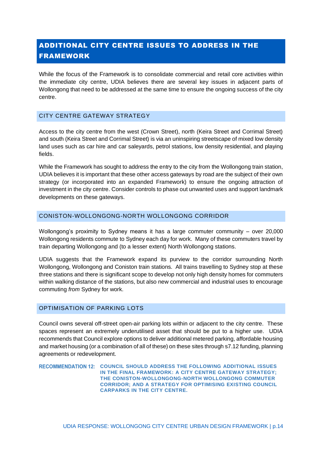# <span id="page-14-0"></span>ADDITIONAL CITY CENTRE ISSUES TO ADDRESS IN THE FRAMEWORK

While the focus of the Framework is to consolidate commercial and retail core activities within the immediate city centre, UDIA believes there are several key issues in adjacent parts of Wollongong that need to be addressed at the same time to ensure the ongoing success of the city centre.

#### <span id="page-14-1"></span>CITY CENTRE GATEWAY STRATEGY

Access to the city centre from the west (Crown Street), north (Keira Street and Corrimal Street) and south (Keira Street and Corrimal Street) is via an uninspiring streetscape of mixed low density land uses such as car hire and car saleyards, petrol stations, low density residential, and playing fields.

While the Framework has sought to address the entry to the city from the Wollongong train station, UDIA believes it is important that these other access gateways by road are the subject of their own strategy (or incorporated into an expanded Framework) to ensure the ongoing attraction of investment in the city centre. Consider controls to phase out unwanted uses and support landmark developments on these gateways.

#### <span id="page-14-2"></span>CONISTON-WOLLONGONG-NORTH WOLLONGONG CORRIDOR

Wollongong's proximity to Sydney means it has a large commuter community – over 20,000 Wollongong residents commute to Sydney each day for work. Many of these commuters travel by train departing Wollongong and (to a lesser extent) North Wollongong stations.

UDIA suggests that the Framework expand its purview to the corridor surrounding North Wollongong, Wollongong and Coniston train stations. All trains travelling to Sydney stop at these three stations and there is significant scope to develop not only high density homes for commuters within walking distance of the stations, but also new commercial and industrial uses to encourage commuting *from* Sydney for work.

#### <span id="page-14-3"></span>OPTIMISATION OF PARKING LOTS

Council owns several off-street open-air parking lots within or adjacent to the city centre. These spaces represent an extremely underutilised asset that should be put to a higher use. UDIA recommends that Council explore options to deliver additional metered parking, affordable housing and market housing (or a combination of all of these) on these sites through s7.12 funding, planning agreements or redevelopment.

**COUNCIL SHOULD ADDRESS THE FOLLOWING ADDITIONAL ISSUES IN THE FINAL FRAMEWORK: A CITY CENTRE GATEWAY STRATEGY; THE CONISTON-WOLLONGONG-NORTH WOLLONGONG COMMUTER CORRIDOR; AND A STRATEGY FOR OPTIMISING EXISTING COUNCIL CARPARKS IN THE CITY CENTRE.**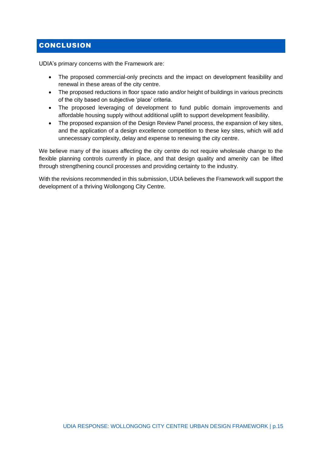# <span id="page-15-0"></span>**CONCLUSION**

UDIA's primary concerns with the Framework are:

- The proposed commercial-only precincts and the impact on development feasibility and renewal in these areas of the city centre.
- The proposed reductions in floor space ratio and/or height of buildings in various precincts of the city based on subjective 'place' criteria.
- The proposed leveraging of development to fund public domain improvements and affordable housing supply without additional uplift to support development feasibility.
- The proposed expansion of the Design Review Panel process, the expansion of key sites, and the application of a design excellence competition to these key sites, which will add unnecessary complexity, delay and expense to renewing the city centre.

We believe many of the issues affecting the city centre do not require wholesale change to the flexible planning controls currently in place, and that design quality and amenity can be lifted through strengthening council processes and providing certainty to the industry.

With the revisions recommended in this submission, UDIA believes the Framework will support the development of a thriving Wollongong City Centre.